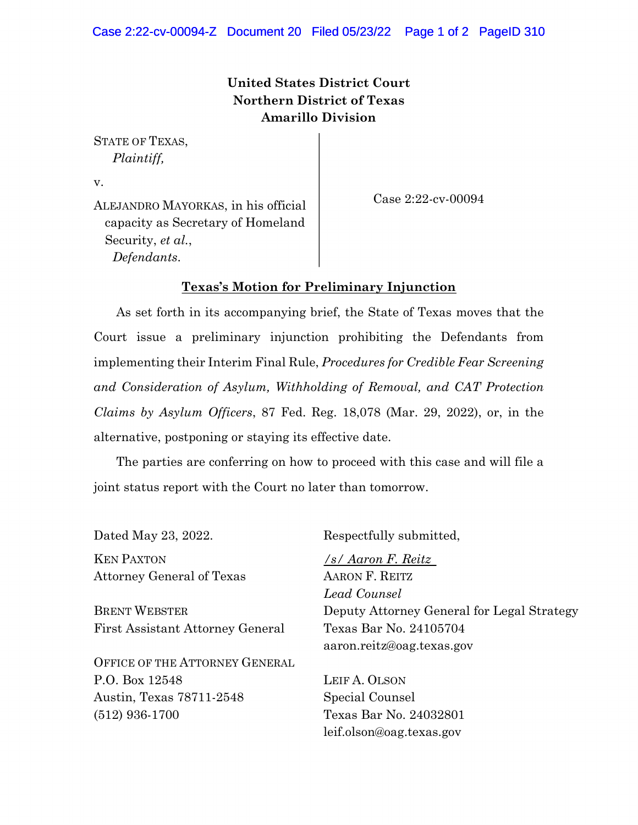## **United States District Court Northern District of Texas Amarillo Division**

STATE OF TEXAS, *Plaintiff,*

v.

Case 2:22-cv-00094

ALEJANDRO MAYORKAS, in his official capacity as Secretary of Homeland Security, *et al.*, *Defendants*.

## **Texas's Motion for Preliminary Injunction**

As set forth in its accompanying brief, the State of Texas moves that the Court issue a preliminary injunction prohibiting the Defendants from implementing their Interim Final Rule, *Procedures for Credible Fear Screening and Consideration of Asylum, Withholding of Removal, and CAT Protection Claims by Asylum Officers*, 87 Fed. Reg. 18,078 (Mar. 29, 2022), or, in the alternative, postponing or staying its effective date.

The parties are conferring on how to proceed with this case and will file a joint status report with the Court no later than tomorrow.

KEN PAXTON Attorney General of Texas

BRENT WEBSTER First Assistant Attorney General

OFFICE OF THE ATTORNEY GENERAL P.O. Box 12548 Austin, Texas 78711-2548 (512) 936-1700

Dated May 23, 2022. Respectfully submitted,

*/s/ Aaron F. Reitz* AARON F. REITZ *Lead Counsel* Deputy Attorney General for Legal Strategy Texas Bar No. 24105704 aaron.reitz@oag.texas.gov

LEIF A. OLSON Special Counsel Texas Bar No. 24032801 leif.olson@oag.texas.gov